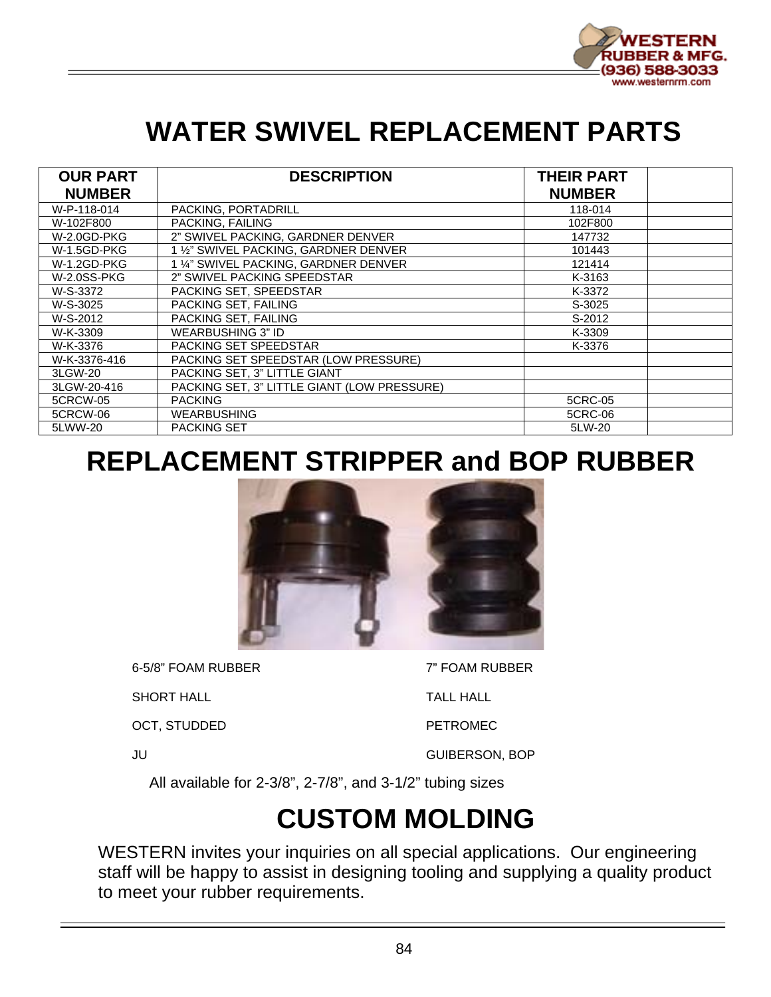

# **WATER SWIVEL REPLACEMENT PARTS**

| <b>OUR PART</b><br><b>NUMBER</b> | <b>DESCRIPTION</b>                          | <b>THEIR PART</b><br><b>NUMBER</b> |  |
|----------------------------------|---------------------------------------------|------------------------------------|--|
| W-P-118-014                      | PACKING, PORTADRILL                         | 118-014                            |  |
| W-102F800                        | PACKING, FAILING                            | 102F800                            |  |
| W-2.0GD-PKG                      | 2" SWIVEL PACKING, GARDNER DENVER           | 147732                             |  |
| W-1.5GD-PKG                      | 1 1/2" SWIVEL PACKING, GARDNER DENVER       | 101443                             |  |
| W-1.2GD-PKG                      | 1 1/4" SWIVEL PACKING. GARDNER DENVER       | 121414                             |  |
| <b>W-2.0SS-PKG</b>               | 2" SWIVEL PACKING SPEEDSTAR                 | K-3163                             |  |
| W-S-3372                         | PACKING SET. SPEEDSTAR                      | K-3372                             |  |
| W-S-3025                         | PACKING SET. FAILING                        | S-3025                             |  |
| W-S-2012                         | PACKING SET, FAILING                        | S-2012                             |  |
| W-K-3309                         | WEARBUSHING 3" ID                           | K-3309                             |  |
| W-K-3376                         | PACKING SET SPEEDSTAR                       | K-3376                             |  |
| W-K-3376-416                     | PACKING SET SPEEDSTAR (LOW PRESSURE)        |                                    |  |
| 3LGW-20                          | PACKING SET, 3" LITTLE GIANT                |                                    |  |
| 3LGW-20-416                      | PACKING SET, 3" LITTLE GIANT (LOW PRESSURE) |                                    |  |
| 5CRCW-05                         | <b>PACKING</b>                              | 5CRC-05                            |  |
| 5CRCW-06                         | <b>WEARBUSHING</b>                          | 5CRC-06                            |  |
| 5LWW-20                          | <b>PACKING SET</b>                          | 5LW-20                             |  |

## **REPLACEMENT STRIPPER and BOP RUBBER**



6-5/8" FOAM RUBBER 7" FOAM RUBBER

SHORT HALL **TALL HALL** 

OCT, STUDDED PETROMEC

JU GUIBERSON, BOP

All available for 2-3/8", 2-7/8", and 3-1/2" tubing sizes

# **CUSTOM MOLDING**

WESTERN invites your inquiries on all special applications. Our engineering staff will be happy to assist in designing tooling and supplying a quality product to meet your rubber requirements.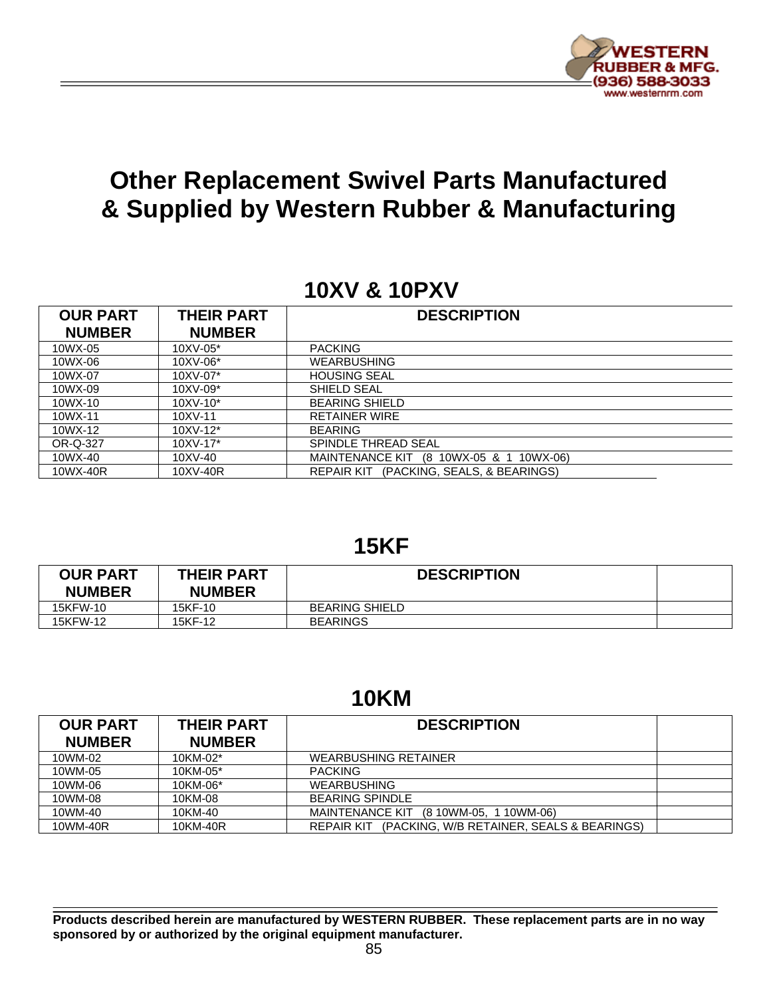

## **Other Replacement Swivel Parts Manufactured & Supplied by Western Rubber & Manufacturing**

### **10XV & 10PXV**

| <b>OUR PART</b><br><b>NUMBER</b> | <b>THEIR PART</b><br><b>NUMBER</b> | <b>DESCRIPTION</b>                                |
|----------------------------------|------------------------------------|---------------------------------------------------|
| 10WX-05                          | $10XV - 05*$                       | <b>PACKING</b>                                    |
| 10WX-06                          | 10XV-06*                           | <b>WEARBUSHING</b>                                |
| 10WX-07                          | 10XV-07*                           | <b>HOUSING SEAL</b>                               |
| 10WX-09                          | $10XV-09*$                         | SHIELD SEAL                                       |
| 10WX-10                          | $10XV - 10*$                       | <b>BEARING SHIELD</b>                             |
| 10WX-11                          | 10XV-11                            | <b>RETAINER WIRE</b>                              |
| 10WX-12                          | $10XV - 12*$                       | <b>BEARING</b>                                    |
| OR-Q-327                         | $10XV - 17*$                       | SPINDLE THREAD SEAL                               |
| 10WX-40                          | 10XV-40                            | <b>MAINTENANCE KIT</b><br>(8 10WX-05 & 1 10WX-06) |
| 10WX-40R                         | 10XV-40R                           | (PACKING, SEALS, & BEARINGS)<br><b>REPAIR KIT</b> |

#### **15KF**

| <b>OUR PART</b><br><b>NUMBER</b> | <b>THEIR PART</b><br><b>NUMBER</b> | <b>DESCRIPTION</b>    |  |
|----------------------------------|------------------------------------|-----------------------|--|
| 15KFW-10                         | 15KF-10                            | <b>BEARING SHIELD</b> |  |
| 15KFW-12                         | 15KF-12                            | <b>BEARINGS</b>       |  |

#### **10KM**

| <b>OUR PART</b> | <b>THEIR PART</b> | <b>DESCRIPTION</b>                                             |  |
|-----------------|-------------------|----------------------------------------------------------------|--|
| <b>NUMBER</b>   | <b>NUMBER</b>     |                                                                |  |
| 10WM-02         | 10KM-02*          | <b>WEARBUSHING RETAINER</b>                                    |  |
| 10WM-05         | 10KM-05*          | <b>PACKING</b>                                                 |  |
| 10WM-06         | 10KM-06*          | <b>WEARBUSHING</b>                                             |  |
| 10WM-08         | 10KM-08           | <b>BEARING SPINDLE</b>                                         |  |
| 10WM-40         | 10KM-40           | MAINTENANCE KIT (8 10WM-05, 1 10WM-06)                         |  |
| 10WM-40R        | 10KM-40R          | (PACKING, W/B RETAINER, SEALS & BEARINGS)<br><b>REPAIR KIT</b> |  |

**Products described herein are manufactured by WESTERN RUBBER. These replacement parts are in no way sponsored by or authorized by the original equipment manufacturer.**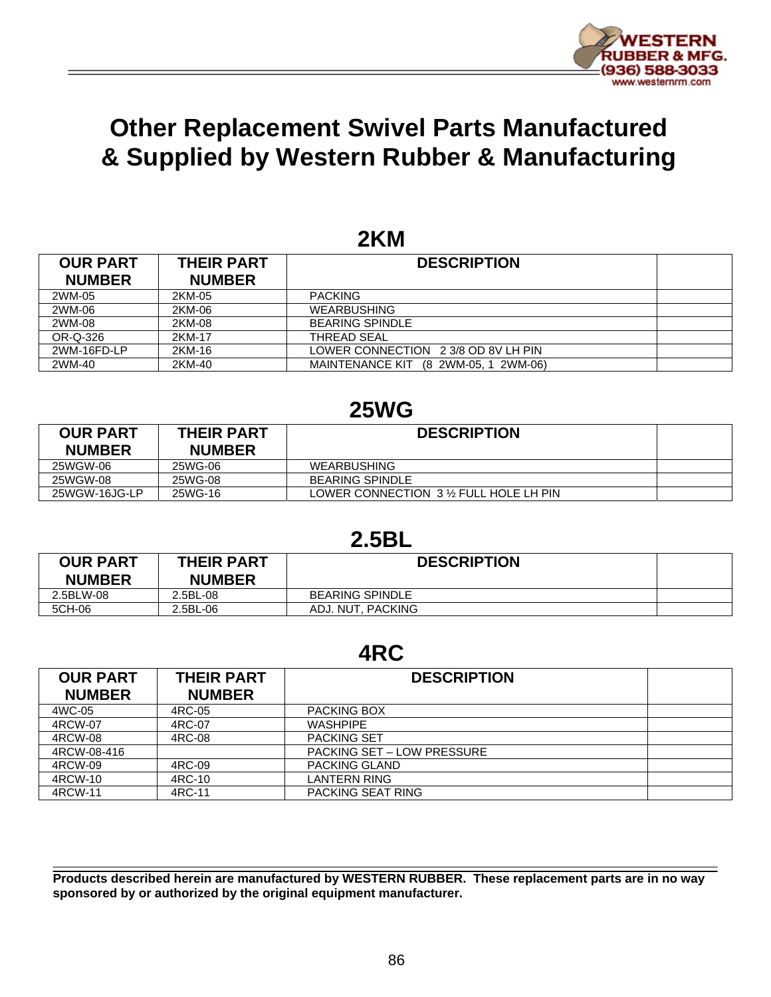

### **Other Replacement Swivel Parts Manufactured & Supplied by Western Rubber & Manufacturing**

#### **2KM**

| <b>OUR PART</b> | <b>THEIR PART</b> | <b>DESCRIPTION</b>                      |  |
|-----------------|-------------------|-----------------------------------------|--|
| <b>NUMBER</b>   | <b>NUMBER</b>     |                                         |  |
| 2WM-05          | 2KM-05            | <b>PACKING</b>                          |  |
| 2WM-06          | 2KM-06            | <b>WEARBUSHING</b>                      |  |
| 2WM-08          | 2KM-08            | <b>BEARING SPINDLE</b>                  |  |
| OR-Q-326        | 2KM-17            | THREAD SEAL                             |  |
| 2WM-16FD-LP     | 2KM-16            | LOWER CONNECTION 2 3/8 OD 8V LH PIN     |  |
| 2WM-40          | 2KM-40            | MAINTENANCE KIT<br>(8 2WM-05, 1 2WM-06) |  |

#### **25WG**

| <b>OUR PART</b><br><b>NUMBER</b> | <b>THEIR PART</b><br><b>NUMBER</b> | <b>DESCRIPTION</b>                    |  |
|----------------------------------|------------------------------------|---------------------------------------|--|
| 25WGW-06                         | 25WG-06                            | WEARBUSHING                           |  |
| 25WGW-08                         | 25WG-08                            | <b>BEARING SPINDLE</b>                |  |
| 25WGW-16JG-LP                    | 25WG-16                            | LOWER CONNECTION 3 % FULL HOLE LH PIN |  |

#### **2.5BL**

| <b>OUR PART</b><br><b>NUMBER</b> | <b>THEIR PART</b><br><b>NUMBER</b> | <b>DESCRIPTION</b>     |  |
|----------------------------------|------------------------------------|------------------------|--|
| 2.5BLW-08                        | 2.5BL-08                           | <b>BEARING SPINDLE</b> |  |
| 5CH-06                           | 2.5BL-06                           | ADJ. NUT. PACKING      |  |

#### **4RC**

| <b>OUR PART</b><br><b>NUMBER</b> | <b>THEIR PART</b><br><b>NUMBER</b> | <b>DESCRIPTION</b>                |
|----------------------------------|------------------------------------|-----------------------------------|
| 4WC-05                           | 4RC-05                             | PACKING BOX                       |
| 4RCW-07                          | 4RC-07                             | <b>WASHPIPE</b>                   |
| 4RCW-08                          | 4RC-08                             | <b>PACKING SET</b>                |
| 4RCW-08-416                      |                                    | <b>PACKING SET – LOW PRESSURE</b> |
| 4RCW-09                          | 4RC-09                             | <b>PACKING GLAND</b>              |
| 4RCW-10                          | 4RC-10                             | <b>LANTERN RING</b>               |
| 4RCW-11                          | 4RC-11                             | PACKING SEAT RING                 |

**Products described herein are manufactured by WESTERN RUBBER. These replacement parts are in no way sponsored by or authorized by the original equipment manufacturer.**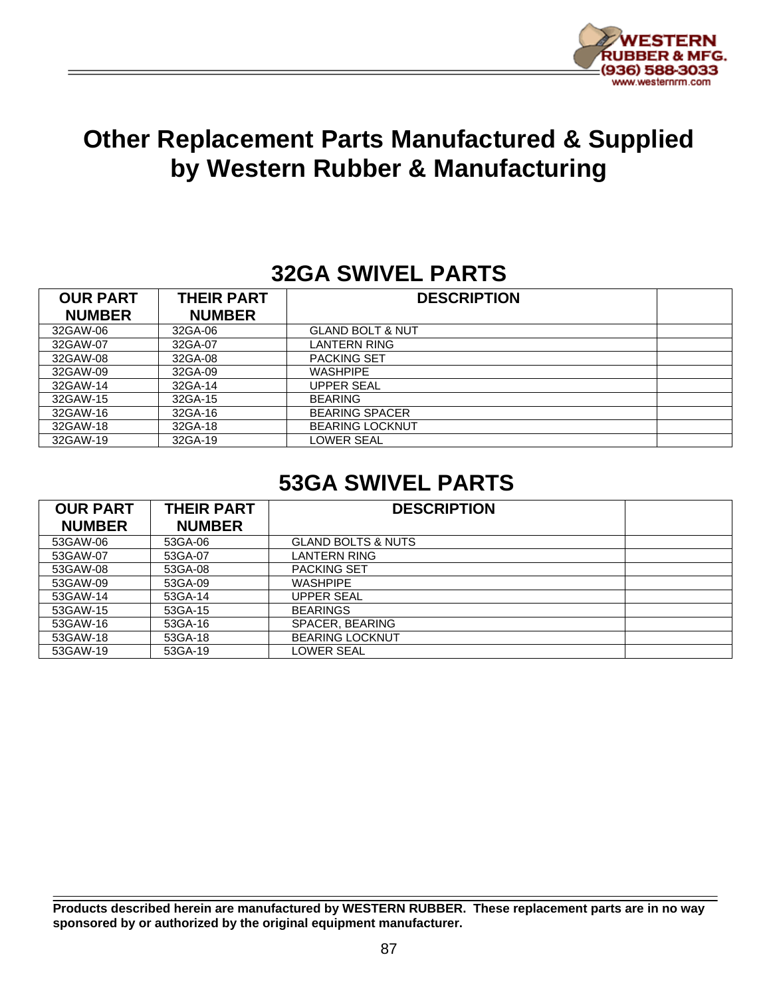

### **Other Replacement Parts Manufactured & Supplied by Western Rubber & Manufacturing**

### **32GA SWIVEL PARTS**

| <b>OUR PART</b><br><b>NUMBER</b> | <b>THEIR PART</b><br><b>NUMBER</b> | <b>DESCRIPTION</b>          |  |
|----------------------------------|------------------------------------|-----------------------------|--|
| 32GAW-06                         | 32GA-06                            | <b>GLAND BOLT &amp; NUT</b> |  |
| 32GAW-07                         | 32GA-07                            | LANTERN RING                |  |
| 32GAW-08                         | 32GA-08                            | <b>PACKING SET</b>          |  |
| 32GAW-09                         | 32GA-09                            | <b>WASHPIPE</b>             |  |
| 32GAW-14                         | 32GA-14                            | <b>UPPER SEAL</b>           |  |
| 32GAW-15                         | 32GA-15                            | <b>BEARING</b>              |  |
| 32GAW-16                         | 32GA-16                            | <b>BEARING SPACER</b>       |  |
| 32GAW-18                         | 32GA-18                            | <b>BEARING LOCKNUT</b>      |  |
| 32GAW-19                         | 32GA-19                            | LOWER SEAL                  |  |

### **53GA SWIVEL PARTS**

| <b>OUR PART</b><br><b>NUMBER</b> | <b>THEIR PART</b><br><b>NUMBER</b> | <b>DESCRIPTION</b>            |
|----------------------------------|------------------------------------|-------------------------------|
| 53GAW-06                         | 53GA-06                            | <b>GLAND BOLTS &amp; NUTS</b> |
| 53GAW-07                         | 53GA-07                            | LANTERN RING                  |
| 53GAW-08                         | 53GA-08                            | <b>PACKING SET</b>            |
| 53GAW-09                         | 53GA-09                            | <b>WASHPIPE</b>               |
| 53GAW-14                         | 53GA-14                            | UPPER SEAL                    |
| 53GAW-15                         | 53GA-15                            | <b>BEARINGS</b>               |
| 53GAW-16                         | 53GA-16                            | SPACER, BEARING               |
| 53GAW-18                         | 53GA-18                            | <b>BEARING LOCKNUT</b>        |
| 53GAW-19                         | 53GA-19                            | LOWER SEAL                    |

**Products described herein are manufactured by WESTERN RUBBER. These replacement parts are in no way sponsored by or authorized by the original equipment manufacturer.**